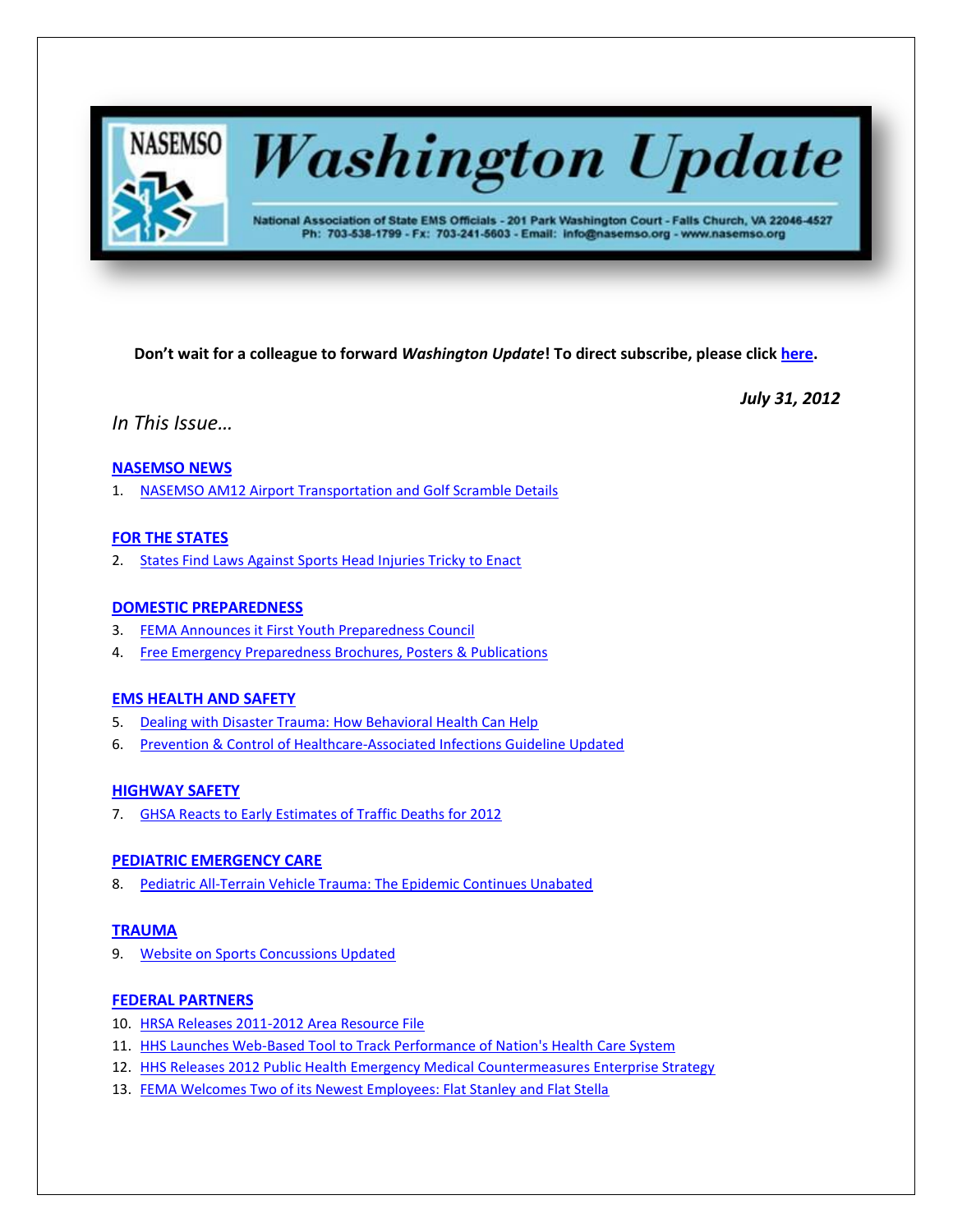

# **Washington Update**

National Association of State EMS Officials - 201 Park Washington Court - Falls Church, VA 22046-4527 Ph: 703-538-1799 - Fx: 703-241-5603 - Email: info@nasemso.org - www.nasemso.org

**Don't wait for a colleague to forward** *Washington Update***! To direct subscribe, please click [here.](http://lists.nasemso.org/read/all_forums/subscribe?name=wu%20)**

*July 31, 2012*

*In This Issue…*

## **[NASEMSO NEWS](#page-1-0)**

1. [NASEMSO AM12 Airport Transportation and Golf Scramble Details](#page-1-0)

## **[FOR THE STATES](#page-1-1)**

2. [States Find Laws Against Sports Head Injuries Tricky to Enact](#page-1-2)

## **[DOMESTIC PREPAREDNESS](#page-1-3)**

- 3. [FEMA Announces it First Youth Preparedness Council](#page-1-4)
- 4. [Free Emergency Preparedness Brochures, Posters & Publications](#page-2-0)

## **[EMS HEALTH AND SAFETY](#page-2-1)**

- 5. [Dealing with Disaster Trauma: How Behavioral Health Can Help](#page-2-2)
- 6. [Prevention & Control of Healthcare-Associated Infections Guideline Updated](#page-2-3)

## **[HIGHWAY SAFETY](#page-2-4)**

7. [GHSA Reacts to Early Estimates of Traffic Deaths for 2012](#page-2-5)

## **[PEDIATRIC EMERGENCY CARE](#page-2-6)**

8. [Pediatric All-Terrain Vehicle Trauma: The Epidemic Continues Unabated](#page-2-7)

## **[TRAUMA](#page-3-0)**

9. [Website on Sports Concussions Updated](#page-3-1)

## **[FEDERAL PARTNERS](#page-3-2)**

- 10. [HRSA Releases 2011-2012 Area Resource File](#page-3-3)
- 11. [HHS Launches Web-Based Tool to Track Performance of Nation's Health Care System](#page-3-4)
- 12. [HHS Releases 2012 Public Health Emergency Medical Countermeasures Enterprise Strategy](#page-3-5)
- 13. [FEMA Welcomes Two of its Newest Employees: Flat Stanley and Flat Stella](#page-3-6)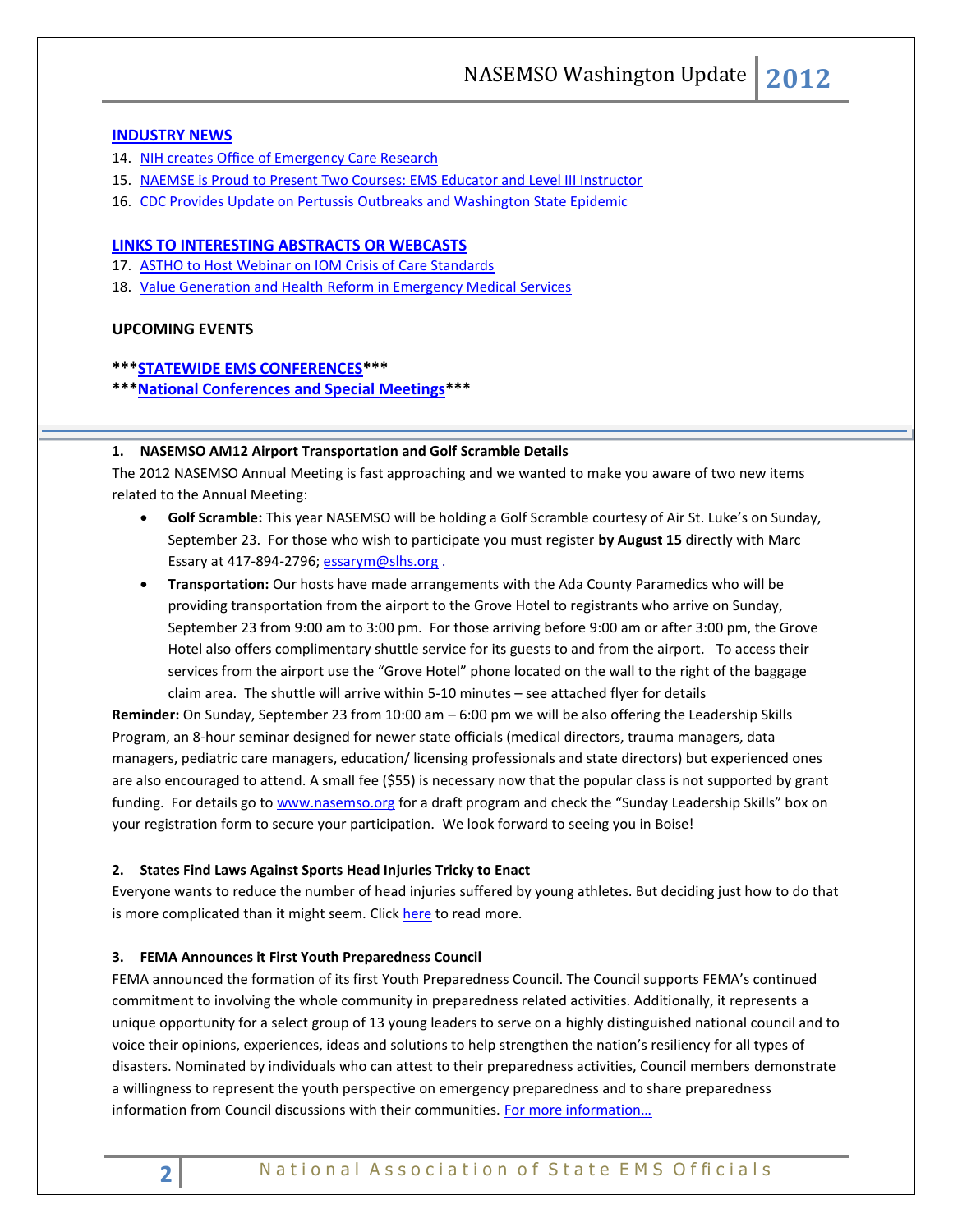## **[INDUSTRY NEWS](#page-4-0)**

- 14. [NIH creates Office of Emergency Care Research](#page-4-1)
- 15. [NAEMSE is Proud to Present Two Courses: EMS Educator and Level III Instructor](#page-4-2)
- 16. [CDC Provides Update on Pertussis Outbreaks and Washington State Epidemic](#page-4-3)

#### **LINKS TO [INTERESTING ABSTRACTS OR WEBCASTS](#page-4-4)**

- 17. [ASTHO to Host Webinar on IOM Crisis of Care Standards](#page-4-5)
- 18. [Value Generation and Health Reform in Emergency Medical Services](#page-5-0)

## **UPCOMING EVENTS**

## **\*\*[\\*STATEWIDE EMS CONFERENCES\\*](#page-5-1)\*\***

**\*\*[\\*National Conferences and Special Meetings\\*](#page-5-2)\*\***

#### <span id="page-1-0"></span>**1. NASEMSO AM12 Airport Transportation and Golf Scramble Details**

The 2012 NASEMSO Annual Meeting is fast approaching and we wanted to make you aware of two new items related to the Annual Meeting:

- **Golf Scramble:** This year NASEMSO will be holding a Golf Scramble courtesy of Air St. Luke's on Sunday, September 23. For those who wish to participate you must register **by August 15** directly with Marc Essary at 417-894-2796; [essarym@slhs.org](mailto:essarym@slhs.org).
- **Transportation:** Our hosts have made arrangements with the Ada County Paramedics who will be providing transportation from the airport to the Grove Hotel to registrants who arrive on Sunday, September 23 from 9:00 am to 3:00 pm. For those arriving before 9:00 am or after 3:00 pm, the Grove Hotel also offers complimentary shuttle service for its guests to and from the airport. To access their services from the airport use the "Grove Hotel" phone located on the wall to the right of the baggage claim area. The shuttle will arrive within 5-10 minutes – see attached flyer for details

**Reminder:** On Sunday, September 23 from 10:00 am – 6:00 pm we will be also offering the Leadership Skills Program, an 8-hour seminar designed for newer state officials (medical directors, trauma managers, data managers, pediatric care managers, education/ licensing professionals and state directors) but experienced ones are also encouraged to attend. A small fee (\$55) is necessary now that the popular class is not supported by grant funding. For details go to [www.nasemso.org](http://www.nasemso.org/) for a draft program and check the "Sunday Leadership Skills" box on your registration form to secure your participation. We look forward to seeing you in Boise!

#### <span id="page-1-2"></span><span id="page-1-1"></span>**2. States Find Laws Against Sports Head Injuries Tricky to Enact**

Everyone wants to reduce the number of head injuries suffered by young athletes. But deciding just how to do that is more complicated than it might seem. Click [here](http://www.pewstates.org/projects/stateline/headlines/states-find-laws-against-sports-head-injuries-tricky-to-enact-85899405995) to read more.

#### <span id="page-1-4"></span><span id="page-1-3"></span>**3. FEMA Announces it First Youth Preparedness Council**

FEMA announced the formation of its first Youth Preparedness Council. The Council supports FEMA's continued commitment to involving the whole community in preparedness related activities. Additionally, it represents a unique opportunity for a select group of 13 young leaders to serve on a highly distinguished national council and to voice their opinions, experiences, ideas and solutions to help strengthen the nation's resiliency for all types of disasters. Nominated by individuals who can attest to their preparedness activities, Council members demonstrate a willingness to represent the youth perspective on emergency preparedness and to share preparedness information from Council discussions with their communities. For more information...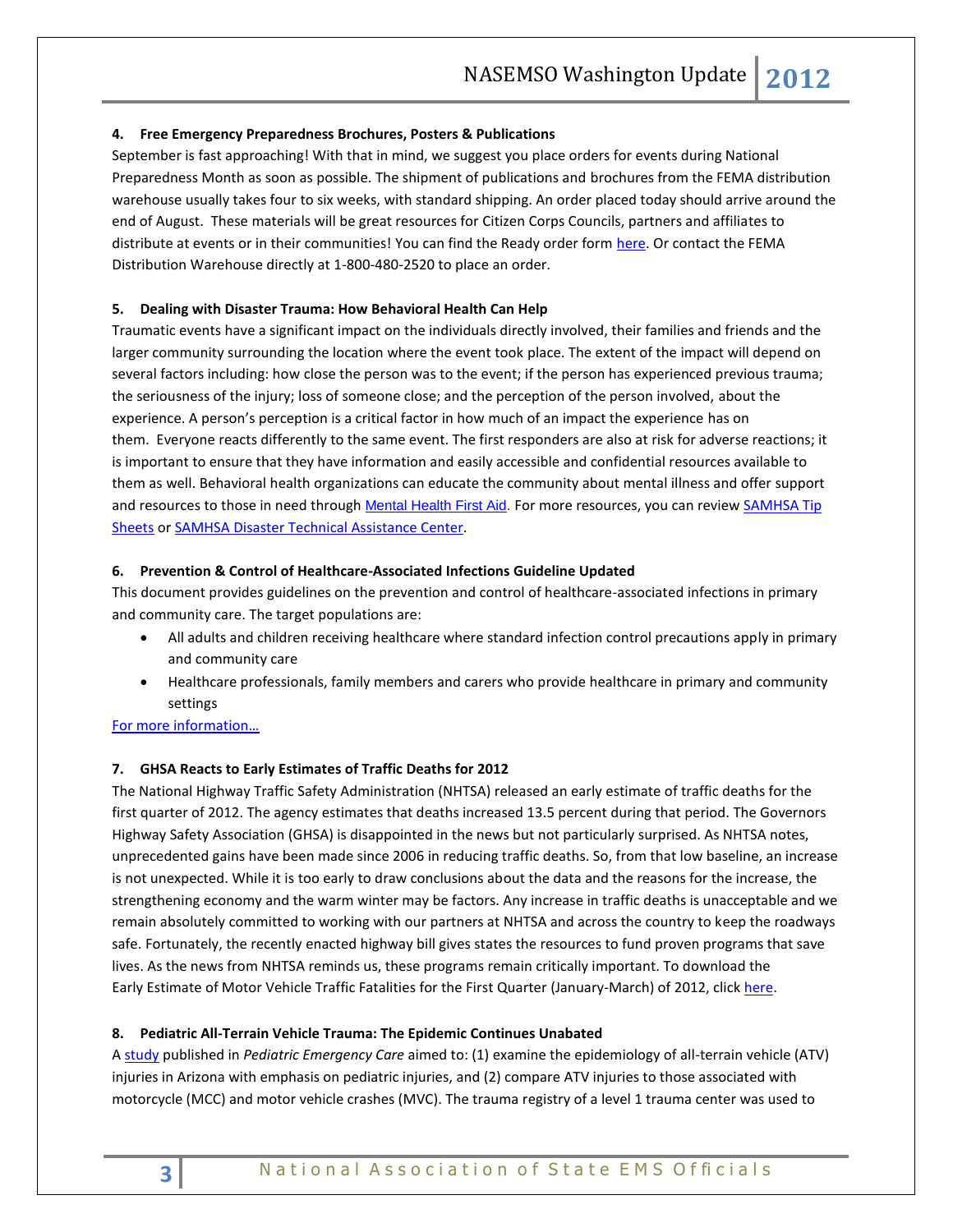## <span id="page-2-0"></span>**4. Free Emergency Preparedness Brochures, Posters & Publications**

September is fast approaching! With that in mind, we suggest you place orders for events during National Preparedness Month as soon as possible. The shipment of publications and brochures from the FEMA distribution warehouse usually takes four to six weeks, with standard shipping. An order placed today should arrive around the end of August. These materials will be great resources for Citizen Corps Councils, partners and affiliates to distribute at events or in their communities! You can find the Ready order form [here.](http://www.ready.gov/sites/default/files/Ready_OrderForm_June2012.pdf) Or contact the FEMA Distribution Warehouse directly at 1-800-480-2520 to place an order.

## <span id="page-2-2"></span><span id="page-2-1"></span>**5. Dealing with Disaster Trauma: How Behavioral Health Can Help**

Traumatic events have a significant impact on the individuals directly involved, their families and friends and the larger community surrounding the location where the event took place. The extent of the impact will depend on several factors including: how close the person was to the event; if the person has experienced previous trauma; the seriousness of the injury; loss of someone close; and the perception of the person involved, about the experience. A person's perception is a critical factor in how much of an impact the experience has on them. Everyone reacts differently to the same event. The first responders are also at risk for adverse reactions; it is important to ensure that they have information and easily accessible and confidential resources available to them as well. Behavioral health organizations can educate the community about mental illness and offer support and resources to those in need through [Mental Health First Aid.](http://www.mentalhealthfirstaid.org/cs/) For more resources, you can review SAMHSA Tip [Sheets](http://www.samhsa.gov/dtac/resources.asp) o[r SAMHSA Disaster Technical Assistance Center.](http://www.samhsa.gov/dtac/resources.asp)

## <span id="page-2-3"></span>**6. Prevention & Control of Healthcare-Associated Infections Guideline Updated**

This document provides guidelines on the prevention and control of healthcare-associated infections in primary and community care. The target populations are:

- All adults and children receiving healthcare where standard infection control precautions apply in primary and community care
- Healthcare professionals, family members and carers who provide healthcare in primary and community settings

## <span id="page-2-4"></span>[For more information…](http://guideline.gov/content.aspx?f=rss&id=36680)

## <span id="page-2-5"></span>**7. GHSA Reacts to Early Estimates of Traffic Deaths for 2012**

The National Highway Traffic Safety Administration (NHTSA) released an early estimate of traffic deaths for the first quarter of 2012. The agency estimates that deaths increased 13.5 percent during that period. The Governors Highway Safety Association (GHSA) is disappointed in the news but not particularly surprised. As NHTSA notes, unprecedented gains have been made since 2006 in reducing traffic deaths. So, from that low baseline, an increase is not unexpected. While it is too early to draw conclusions about the data and the reasons for the increase, the strengthening economy and the warm winter may be factors. Any increase in traffic deaths is unacceptable and we remain absolutely committed to working with our partners at NHTSA and across the country to keep the roadways safe. Fortunately, the recently enacted highway bill gives states the resources to fund proven programs that save lives. As the news from NHTSA reminds us, these programs remain critically important. To download the Early Estimate of Motor Vehicle Traffic Fatalities for the First Quarter (January-March) of 2012, click [here.](file:///C:/Users/Owner/AppData/Local/Microsoft/Windows/Temporary%20Internet%20Files/Content.Outlook/2BEFZJMR/www-nrd.nhtsa.dot.gov/Pubs/811642.pdf)

#### <span id="page-2-7"></span><span id="page-2-6"></span>**8. Pediatric All-Terrain Vehicle Trauma: The Epidemic Continues Unabated**

A [study](http://click.bsftransmit1.com/ClickThru.aspx?pubids=8731%7c1649%7c445%7c497&digest=bzJMmeR5JK5LaxRcSjlMng&sysid=1) published in *Pediatric Emergency Care* aimed to: (1) examine the epidemiology of all-terrain vehicle (ATV) injuries in Arizona with emphasis on pediatric injuries, and (2) compare ATV injuries to those associated with motorcycle (MCC) and motor vehicle crashes (MVC). The trauma registry of a level 1 trauma center was used to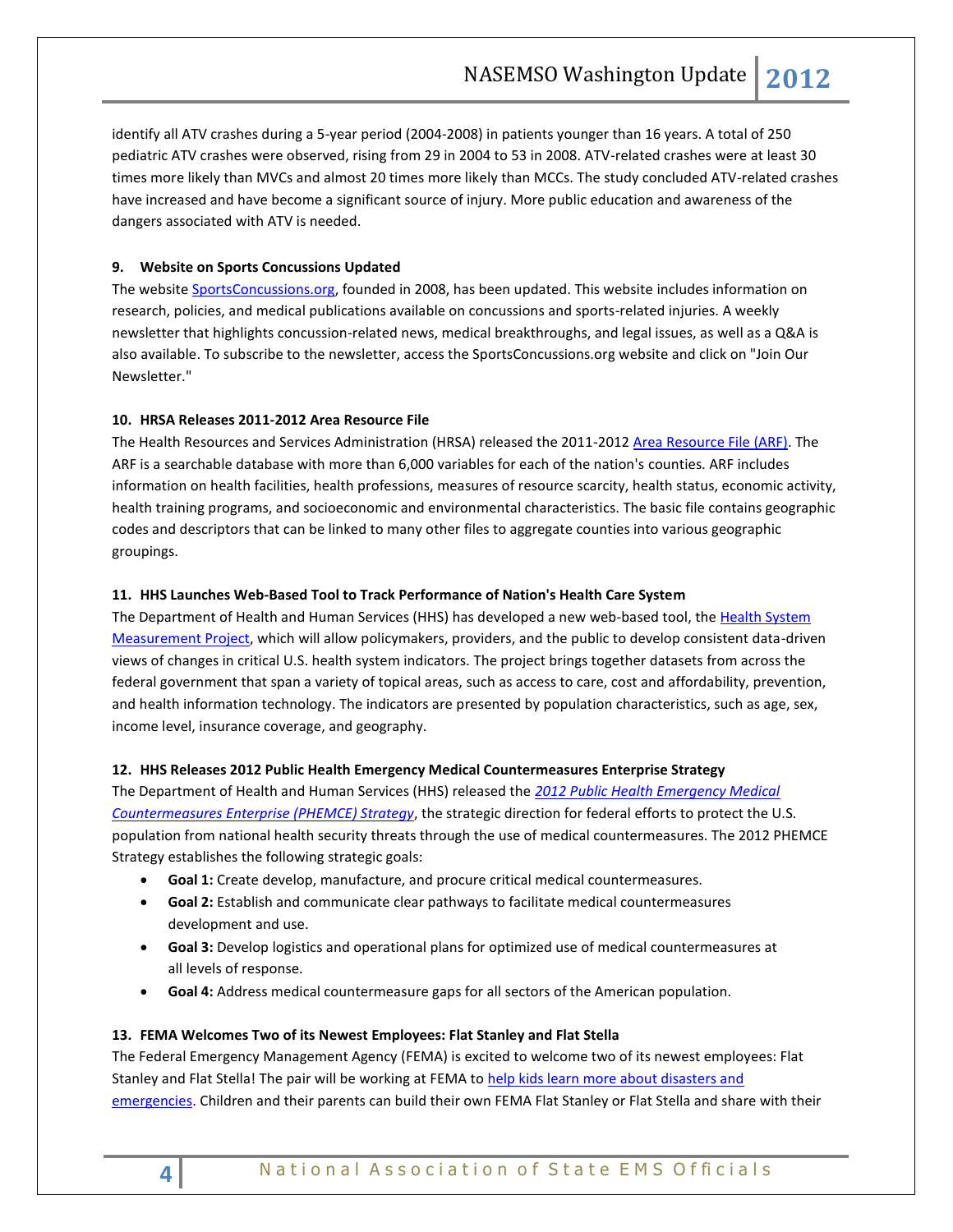identify all ATV crashes during a 5-year period (2004-2008) in patients younger than 16 years. A total of 250 pediatric ATV crashes were observed, rising from 29 in 2004 to 53 in 2008. ATV-related crashes were at least 30 times more likely than MVCs and almost 20 times more likely than MCCs. The study concluded ATV-related crashes have increased and have become a significant source of injury. More public education and awareness of the dangers associated with ATV is needed.

## <span id="page-3-1"></span><span id="page-3-0"></span>**9. Website on Sports Concussions Updated**

The websit[e SportsConcussions.org,](http://click.bsftransmit1.com/ClickThru.aspx?pubids=8731%7c1666%7c445%7c497&digest=3%2bICElMXoc94r1OcmWN%2b2Q&sysid=1) founded in 2008, has been updated. This website includes information on research, policies, and medical publications available on concussions and sports-related injuries. A weekly newsletter that highlights concussion-related news, medical breakthroughs, and legal issues, as well as a Q&A is also available. To subscribe to the newsletter, access the SportsConcussions.org website and click on "Join Our Newsletter."

## <span id="page-3-3"></span><span id="page-3-2"></span>**10. HRSA Releases 2011-2012 Area Resource File**

The Health Resources and Services Administration (HRSA) released the 2011-2012 [Area Resource File \(ARF\).](http://www.arf.hrsa.gov/index.htm) The ARF is a searchable database with more than 6,000 variables for each of the nation's counties. ARF includes information on health facilities, health professions, measures of resource scarcity, health status, economic activity, health training programs, and socioeconomic and environmental characteristics. The basic file contains geographic codes and descriptors that can be linked to many other files to aggregate counties into various geographic groupings.

#### <span id="page-3-4"></span>**11. HHS Launches Web-Based Tool to Track Performance of Nation's Health Care System**

The Department of Health and Human Services (HHS) has developed a new web-based tool, the Health System [Measurement Project,](https://healthmeasures.aspe.hhs.gov/) which will allow policymakers, providers, and the public to develop consistent data-driven views of changes in critical U.S. health system indicators. The project brings together datasets from across the federal government that span a variety of topical areas, such as access to care, cost and affordability, prevention, and health information technology. The indicators are presented by population characteristics, such as age, sex, income level, insurance coverage, and geography.

#### <span id="page-3-5"></span>**12. HHS Releases 2012 Public Health Emergency Medical Countermeasures Enterprise Strategy**

The Department of Health and Human Services (HHS) released the *[2012 Public Health Emergency Medical](http://www.phe.gov/Preparedness/mcm/phemce/Documents/2012-PHEMCE-Strategy.pdf)  [Countermeasures Enterprise \(PHEMCE\) Strategy](http://www.phe.gov/Preparedness/mcm/phemce/Documents/2012-PHEMCE-Strategy.pdf)*, the strategic direction for federal efforts to protect the U.S. population from national health security threats through the use of medical countermeasures. The 2012 PHEMCE Strategy establishes the following strategic goals:

- **Goal 1:** Create develop, manufacture, and procure critical medical countermeasures.
- **Goal 2:** Establish and communicate clear pathways to facilitate medical countermeasures development and use.
- **Goal 3:** Develop logistics and operational plans for optimized use of medical countermeasures at all levels of response.
- **Goal 4:** Address medical countermeasure gaps for all sectors of the American population.

#### <span id="page-3-6"></span>**13. FEMA Welcomes Two of its Newest Employees: Flat Stanley and Flat Stella**

The Federal Emergency Management Agency (FEMA) is excited to welcome two of its newest employees: Flat Stanley and Flat Stella! The pair will be working at FEMA to help kids learn more about disasters and [emergencies.](http://www.ready.gov/flatstanley) Children and their parents can build their own FEMA Flat Stanley or Flat Stella and share with their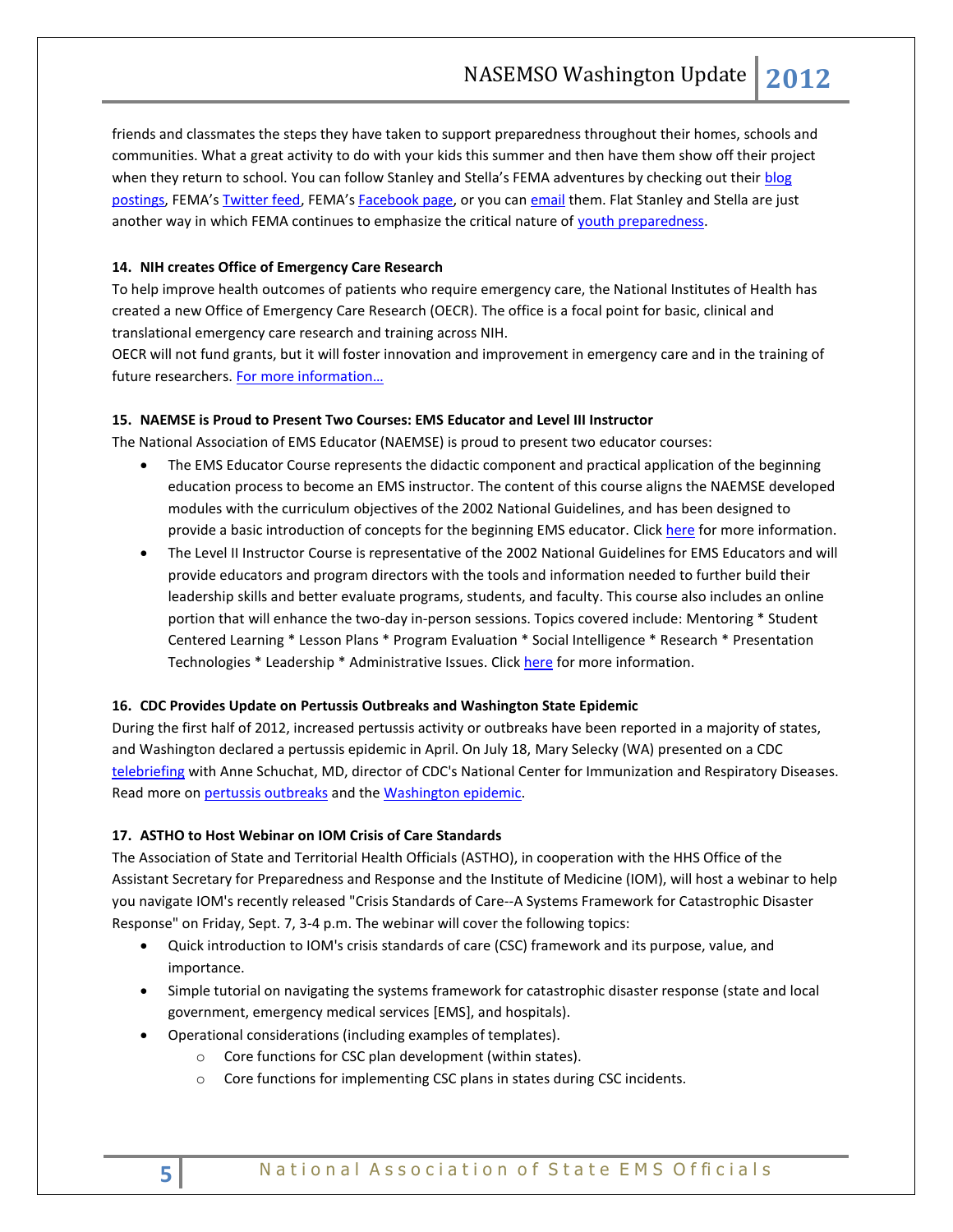<span id="page-4-0"></span>friends and classmates the steps they have taken to support preparedness throughout their homes, schools and communities. What a great activity to do with your kids this summer and then have them show off their project when they return to school. You can follow Stanley and Stella's FEMA adventures by checking out their blog [postings](http://mail.asmii.net/exchweb/bin/redir.asp?URL=http://links.govdelivery.com:80/track?type=click%26enid=ZWFzPTEmbWFpbGluZ2lkPTIwMTIwNzE4LjkxMzc1NDEmbWVzc2FnZWlkPU1EQi1QUkQtQlVMLTIwMTIwNzE4LjkxMzc1NDEmZGF0YWJhc2VpZD0xMDAxJnNlcmlhbD0xNjkxNjM0OCZlbWFpbGlkPWFsdGVyQG5hc2Vtc28ub3JnJnVzZXJpZD1hbHRlckBuYXNlbXNvLm9yZyZmbD0mZXh0cmE9TXVsdGl2YXJpYXRlSWQ9JiYm%26%26%26106%26%26%26http://blog.fema.gov/2012/07/flat-stanley-and-flat-stella-join-fema.html), FEMA's [Twitter feed](http://mail.asmii.net/exchweb/bin/redir.asp?URL=http://links.govdelivery.com:80/track?type=click%26enid=ZWFzPTEmbWFpbGluZ2lkPTIwMTIwNzE4LjkxMzc1NDEmbWVzc2FnZWlkPU1EQi1QUkQtQlVMLTIwMTIwNzE4LjkxMzc1NDEmZGF0YWJhc2VpZD0xMDAxJnNlcmlhbD0xNjkxNjM0OCZlbWFpbGlkPWFsdGVyQG5hc2Vtc28ub3JnJnVzZXJpZD1hbHRlckBuYXNlbXNvLm9yZyZmbD0mZXh0cmE9TXVsdGl2YXJpYXRlSWQ9JiYm%26%26%26107%26%26%26https://twitter.com/fema/status/224892198150344704), FEMA's [Facebook page,](http://mail.asmii.net/exchweb/bin/redir.asp?URL=http://links.govdelivery.com:80/track?type=click%26enid=ZWFzPTEmbWFpbGluZ2lkPTIwMTIwNzE4LjkxMzc1NDEmbWVzc2FnZWlkPU1EQi1QUkQtQlVMLTIwMTIwNzE4LjkxMzc1NDEmZGF0YWJhc2VpZD0xMDAxJnNlcmlhbD0xNjkxNjM0OCZlbWFpbGlkPWFsdGVyQG5hc2Vtc28ub3JnJnVzZXJpZD1hbHRlckBuYXNlbXNvLm9yZyZmbD0mZXh0cmE9TXVsdGl2YXJpYXRlSWQ9JiYm%26%26%26108%26%26%26http://www.facebook.com/media/set/?set=a.10150979304924965.436860.78922439964%26type=1) or you can [email](mailto:StanleyandStella@fema.dhs.gov) them. Flat Stanley and Stella are just another way in which FEMA continues to emphasize the critical nature of [youth preparedness.](http://mail.asmii.net/exchweb/bin/redir.asp?URL=http://links.govdelivery.com:80/track?type=click%26enid=ZWFzPTEmbWFpbGluZ2lkPTIwMTIwNzE4LjkxMzc1NDEmbWVzc2FnZWlkPU1EQi1QUkQtQlVMLTIwMTIwNzE4LjkxMzc1NDEmZGF0YWJhc2VpZD0xMDAxJnNlcmlhbD0xNjkxNjM0OCZlbWFpbGlkPWFsdGVyQG5hc2Vtc28ub3JnJnVzZXJpZD1hbHRlckBuYXNlbXNvLm9yZyZmbD0mZXh0cmE9TXVsdGl2YXJpYXRlSWQ9JiYm%26%26%26109%26%26%26http://www.citizencorps.gov/getstarted/youth/youthindex.shtm)

## <span id="page-4-1"></span>**14. NIH creates Office of Emergency Care Research**

To help improve health outcomes of patients who require emergency care, the National Institutes of Health has created a new Office of Emergency Care Research (OECR). The office is a focal point for basic, clinical and translational emergency care research and training across NIH.

OECR will not fund grants, but it will foster innovation and improvement in emergency care and in the training of future researchers. For more information...

#### <span id="page-4-2"></span>**15. NAEMSE is Proud to Present Two Courses: EMS Educator and Level III Instructor**

The National Association of EMS Educator (NAEMSE) is proud to present two educator courses:

- The EMS Educator Course represents the didactic component and practical application of the beginning education process to become an EMS instructor. The content of this course aligns the NAEMSE developed modules with the curriculum objectives of the 2002 National Guidelines, and has been designed to provide a basic introduction of concepts for the beginning EMS educator. Click [here](http://www.naemse.org/instructor-course/) for more information.
- The Level II Instructor Course is representative of the 2002 National Guidelines for EMS Educators and will provide educators and program directors with the tools and information needed to further build their leadership skills and better evaluate programs, students, and faculty. This course also includes an online portion that will enhance the two-day in-person sessions. Topics covered include: Mentoring \* Student Centered Learning \* Lesson Plans \* Program Evaluation \* Social Intelligence \* Research \* Presentation Technologies \* Leadership \* Administrative Issues. Clic[k here](http://www.naemse.org/instructorcourse2/) for more information.

#### <span id="page-4-3"></span>**16. CDC Provides Update on Pertussis Outbreaks and Washington State Epidemic**

During the first half of 2012, increased pertussis activity or outbreaks have been reported in a majority of states, and Washington declared a pertussis epidemic in April. On July 18, Mary Selecky (WA) presented on a CDC [telebriefing](http://r20.rs6.net/tn.jsp?e=001Fn-n14iIajRNHNcnooBQjz8OxqDx-K3br_VuDA4Zhmajs16G8RVJlJW6ARvJiIrjzJSaPCiN30ZAuTmPcCQ9JjfG13uyYLwRhCnoz4Vve9_KKHe3xf2YTfC4V9O_e-y0gWCab1uSxnvpmKuwHb6TV5EBfaCPowGoN27gTmCk45rY-t_fpXO16Q==) with Anne Schuchat, MD, director of CDC's National Center for Immunization and Respiratory Diseases. Read more o[n pertussis outbreaks](http://r20.rs6.net/tn.jsp?e=001Fn-n14iIajTU6Bo5XKrdn4NHanWkwj-4eT5ahnbxDOq19huebmNXbTyGn1DeEJTjaY0wzwdBamMEaPne8dDQYrGsnYUGjgH_cdm6H-T-Rw37TCbM5h3TUA9R2flZ-2uAUlv7gH50rATMCTCo-Mza2w==) and th[e Washington epidemic.](http://r20.rs6.net/tn.jsp?e=001Fn-n14iIajSi7ma_foiItFivbSTQ0CglVJGkcfYssm2cn2Lqr4bpJnntMAMHG2KgOyCga5IINMB8-7A8-C0ACYhzli8NVvA6_BlqKydfssZyNYL4mReF2jgkYu1BHULdHCPkR4moWMQ7h-c8oflSyfphP-M7lZ9K)

#### <span id="page-4-5"></span><span id="page-4-4"></span>**17. ASTHO to Host Webinar on IOM Crisis of Care Standards**

The Association of State and Territorial Health Officials (ASTHO), in cooperation with the HHS Office of the Assistant Secretary for Preparedness and Response and the Institute of Medicine (IOM), will host a webinar to help you navigate IOM's recently released "Crisis Standards of Care--A Systems Framework for Catastrophic Disaster Response" on Friday, Sept. 7, 3-4 p.m. The webinar will cover the following topics:

- Quick introduction to IOM's crisis standards of care (CSC) framework and its purpose, value, and importance.
- Simple tutorial on navigating the systems framework for catastrophic disaster response (state and local government, emergency medical services [EMS], and hospitals).
- Operational considerations (including examples of templates).
	- o Core functions for CSC plan development (within states).
	- o Core functions for implementing CSC plans in states during CSC incidents.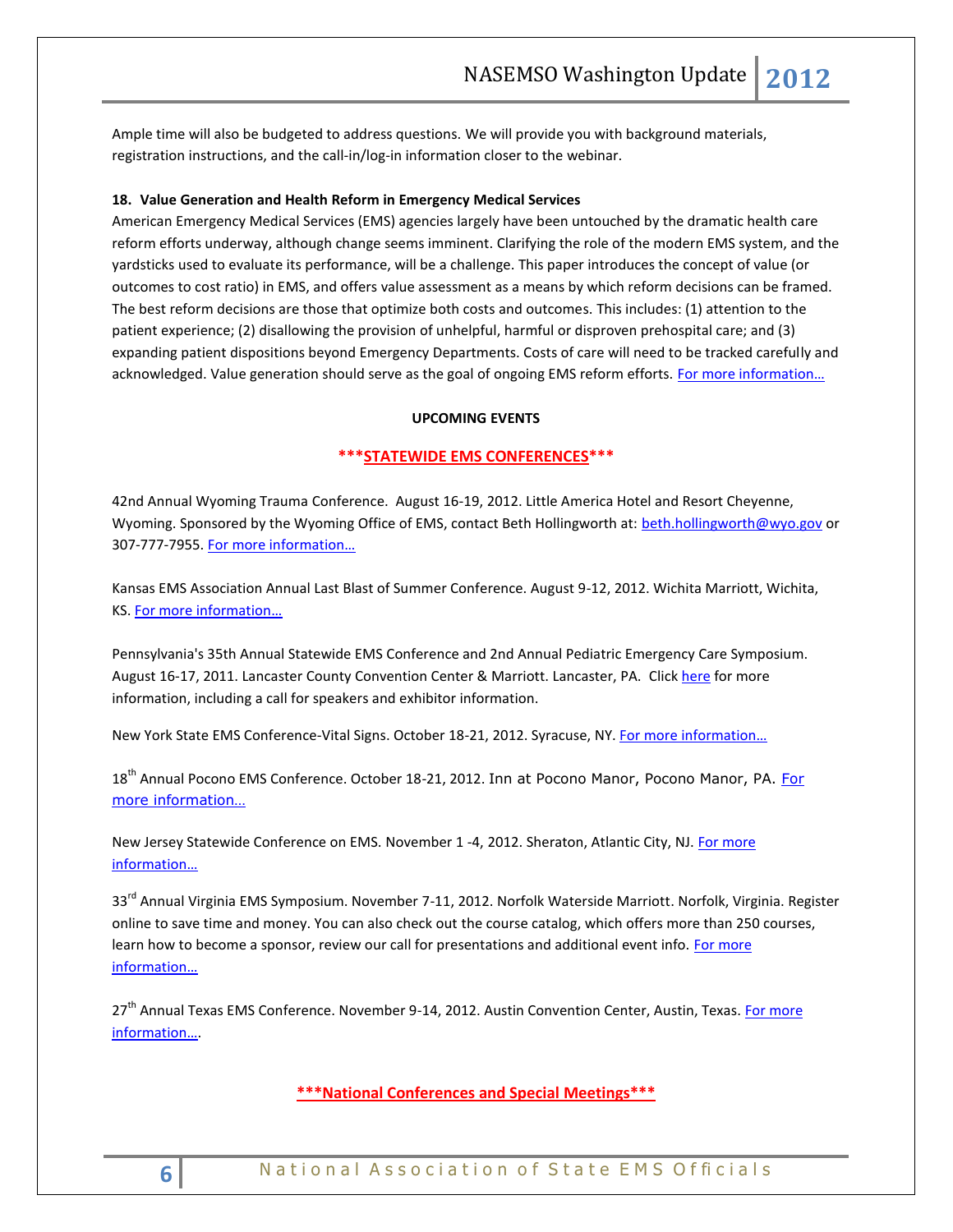Ample time will also be budgeted to address questions. We will provide you with background materials, registration instructions, and the call-in/log-in information closer to the webinar.

#### <span id="page-5-0"></span>**18. Value Generation and Health Reform in Emergency Medical Services**

American Emergency Medical Services (EMS) agencies largely have been untouched by the dramatic health care reform efforts underway, although change seems imminent. Clarifying the role of the modern EMS system, and the yardsticks used to evaluate its performance, will be a challenge. This paper introduces the concept of value (or outcomes to cost ratio) in EMS, and offers value assessment as a means by which reform decisions can be framed. The best reform decisions are those that optimize both costs and outcomes. This includes: (1) attention to the patient experience; (2) disallowing the provision of unhelpful, harmful or disproven prehospital care; and (3) expanding patient dispositions beyond Emergency Departments. Costs of care will need to be tracked carefully and acknowledged. Value generation should serve as the goal of ongoing EMS reform efforts. For more information...

#### **UPCOMING EVENTS**

#### <span id="page-5-1"></span>**\*\*\*STATEWIDE EMS CONFERENCES\*\*\***

42nd Annual Wyoming Trauma Conference. August 16-19, 2012. Little America Hotel and Resort Cheyenne, Wyoming. Sponsored by the Wyoming Office of EMS, contact Beth Hollingworth at: [beth.hollingworth@wyo.gov](mailto:beth.hollingworth@wyo.gov) or 307-777-7955. [For more information…](http://health.wyo.gov/sho/ems/conferences.html)

Kansas EMS Association Annual Last Blast of Summer Conference. August 9-12, 2012. Wichita Marriott, Wichita, KS. For more [information…](http://www.kemsa.org/LBOS.html)

Pennsylvania's 35th Annual Statewide EMS Conference and 2nd Annual Pediatric Emergency Care Symposium. August 16-17, 2011. Lancaster County Convention Center & Marriott. Lancaster, PA. Click [here](http://www.cvent.com/events/35th-annual-pennsylvania-statewide-ems-conference/event-summary-dd4555c433834f8aada4af9332575af6.aspx) for more information, including a call for speakers and exhibitor information.

New York State EMS Conference-Vital Signs. October 18-21, 2012. Syracuse, NY. [For more information…](http://www.vitalsignsconference.com/)

18<sup>th</sup> Annual Pocono EMS Conference. October 18-21, 2012. Inn at Pocono Manor, Pocono Manor, PA. For [more information…](http://www.poconoemsconference.com/)

New Jersey Statewide Conference on EMS. November 1 -4, 2012. Sheraton, Atlantic City, NJ. [For more](http://www.njemsconference.com/)  [information…](http://www.njemsconference.com/)

33<sup>rd</sup> Annual Virginia EMS Symposium. November 7-11, 2012. Norfolk Waterside Marriott. Norfolk, Virginia. Register online to save time and money. You can also check out the course catalog, which offers more than 250 courses, learn how to become a sponsor, review our call for presentations and additional event info. For more [information…](http://www.vdh.virginia.gov/OEMS/Symposium/index.htm)

27<sup>th</sup> Annual Texas EMS Conference. November 9-14, 2012. Austin Convention Center, Austin, Texas. For more [information…](http://www.texasemsconference.com/).

<span id="page-5-2"></span>**\*\*\*National Conferences and Special Meetings\*\*\***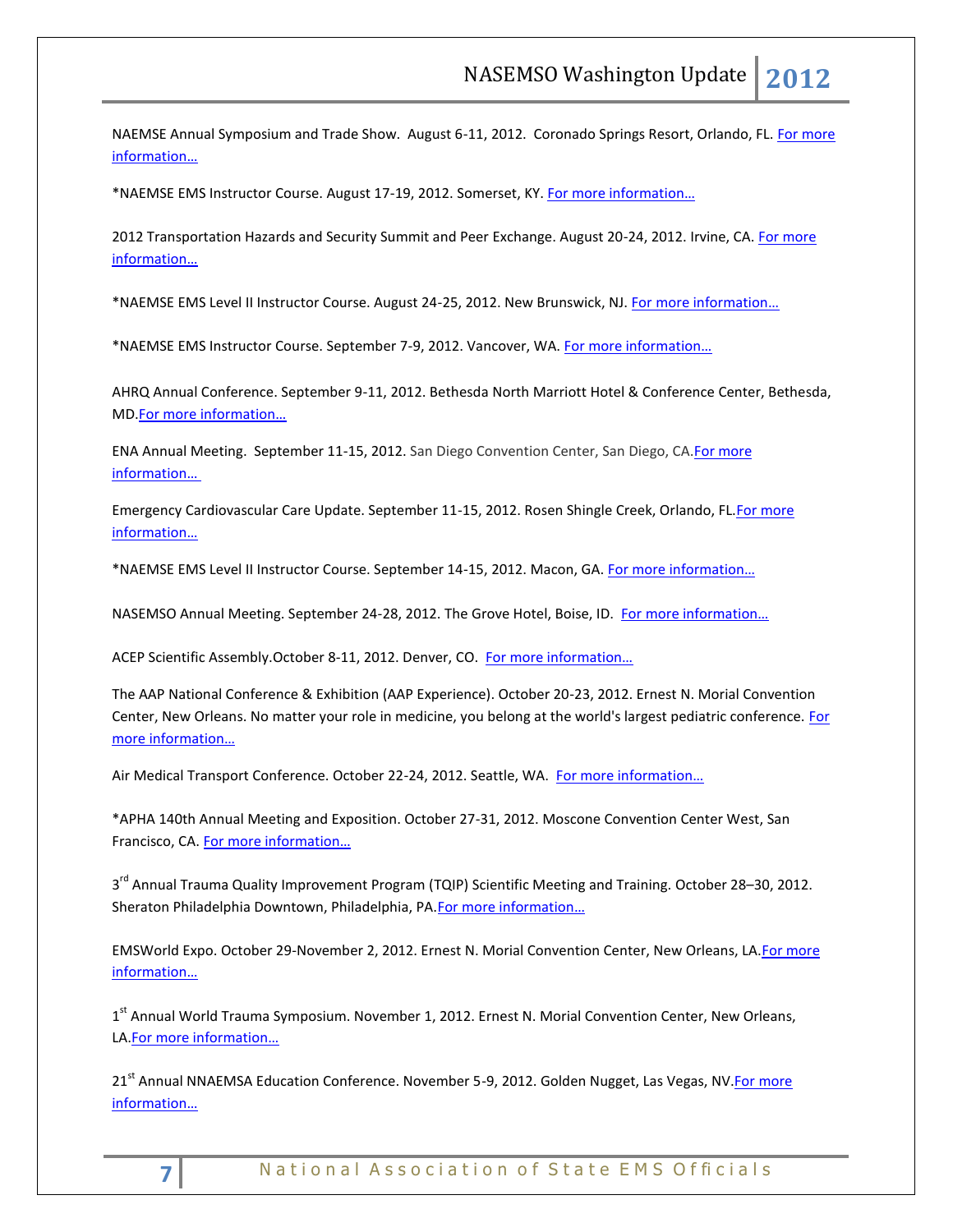NAEMSE Annual Symposium and Trade Show. August 6-11, 2012. Coronado Springs Resort, Orlando, FL. For more [information…](http://www.naemse.org/symposium)

\*NAEMSE EMS Instructor Course. August 17-19, 2012. Somerset, KY. [For more information…](http://www.naemse.org/instructor-course/)

2012 Transportation Hazards and Security Summit and Peer Exchange. August 20-24, 2012. Irvine, CA[. For more](http://www.trb.org/Calendar/Blurbs/166997.aspx)  [information…](http://www.trb.org/Calendar/Blurbs/166997.aspx)

\*NAEMSE EMS Level II Instructor Course. August 24-25, 2012. New Brunswick, NJ. [For more information…](http://www.naemse.org/instructorcourse2/)

\*NAEMSE EMS Instructor Course. September 7-9, 2012. Vancover, WA. [For more information…](http://www.naemse.org/instructor-course/)

AHRQ Annual Conference. September 9-11, 2012. Bethesda North Marriott Hotel & Conference Center, Bethesda, MD.[For more information…](http://meetings.capconcorp.com/ahrq/)

ENA Annual Meeting. September 11-15, 2012. San Diego Convention Center, San Diego, CA[.For more](http://www.ena.org/coursesandeducation/conferences/Pages/Default.aspx)  [information…](http://www.ena.org/coursesandeducation/conferences/Pages/Default.aspx)

Emergency Cardiovascular Care Update. September 11-15, 2012. Rosen Shingle Creek, Orlando, FL[.For more](http://www.eccu2012.com/)  [information…](http://www.eccu2012.com/)

\*NAEMSE EMS Level II Instructor Course. September 14-15, 2012. Macon, GA. [For more information…](http://www.naemse.org/instructorcourse2/)

NASEMSO Annual Meeting. September 24-28, 2012. The Grove Hotel, Boise, ID. [For more information…](http://www.nasemso.org/Meetings/Annual/AnnualMeeting2012.asp)

ACEP Scientific Assembly. October 8-11, 2012. Denver, CO. For more information...

The AAP National Conference & Exhibition (AAP Experience). October 20-23, 2012. Ernest N. Morial Convention Center, New Orleans. No matter your role in medicine, you belong at the world's largest pediatric conference. [For](http://www.aapexperience.org/)  [more information…](http://www.aapexperience.org/)

Air Medical Transport Conference. October 22-24, 2012. Seattle, WA. [For more information…](http://www.aams.org/AAMS/Education___Meetings/AMTC_2012/aams/EducationMeetings/AMTC_2012/AMTC_2012_Overview.aspx)

\*APHA 140th Annual Meeting and Exposition. October 27-31, 2012. Moscone Convention Center West, San Francisco, CA. [For more information…](http://www.apha.org/meetings/AnnualMeeting/)

3<sup>rd</sup> Annual Trauma Quality Improvement Program (TQIP) Scientific Meeting and Training. October 28–30, 2012. Sheraton Philadelphia Downtown, Philadelphia, PA.For more information...

EMSWorld Expo. October 29-November 2, 2012. Ernest N. Morial Convention Center, New Orleans, LA[.For more](http://emsworldexpo.com/)  [information…](http://emsworldexpo.com/)

1<sup>st</sup> Annual World Trauma Symposium. November 1, 2012. Ernest N. Morial Convention Center, New Orleans, LA.[For more information…](http://www.worldtraumasymposium.com/)

21<sup>st</sup> Annual NNAEMSA Education Conference. November 5-9, 2012. Golden Nugget, Las Vegas, NV. For more [information…](http://www.nnaemsa.org/)